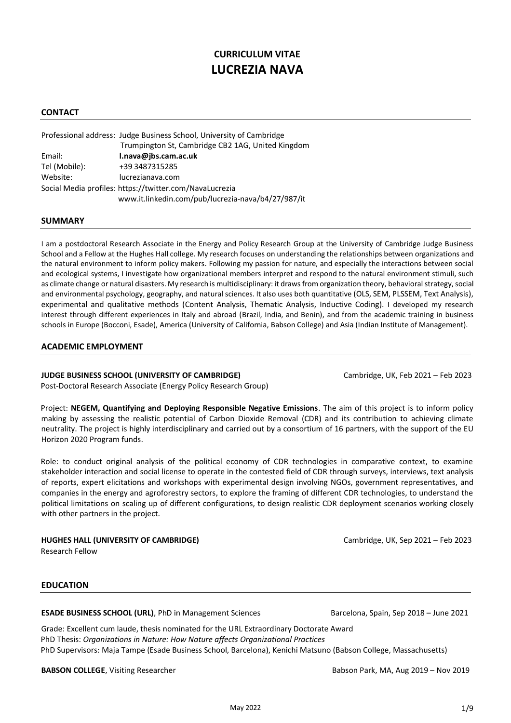# **CURRICULUM VITAE LUCREZIA NAVA**

# **CONTACT**

|                                                         | Professional address: Judge Business School, University of Cambridge |  |
|---------------------------------------------------------|----------------------------------------------------------------------|--|
|                                                         | Trumpington St, Cambridge CB2 1AG, United Kingdom                    |  |
| Email:                                                  | l.nava@jbs.cam.ac.uk                                                 |  |
| Tel (Mobile):                                           | +39 3487315285                                                       |  |
| Website:                                                | lucrezianava.com                                                     |  |
| Social Media profiles: https://twitter.com/NavaLucrezia |                                                                      |  |
|                                                         | www.it.linkedin.com/pub/lucrezia-nava/b4/27/987/it                   |  |

# **SUMMARY**

I am a postdoctoral Research Associate in the Energy and Policy Research Group at the University of Cambridge Judge Business School and a Fellow at the Hughes Hall college. My research focuses on understanding the relationships between organizations and the natural environment to inform policy makers. Following my passion for nature, and especially the interactions between social and ecological systems, I investigate how organizational members interpret and respond to the natural environment stimuli, such as climate change or natural disasters. My research is multidisciplinary: it draws from organization theory, behavioral strategy, social and environmental psychology, geography, and natural sciences. It also uses both quantitative (OLS, SEM, PLSSEM, Text Analysis), experimental and qualitative methods (Content Analysis, Thematic Analysis, Inductive Coding). I developed my research interest through different experiences in Italy and abroad (Brazil, India, and Benin), and from the academic training in business schools in Europe (Bocconi, Esade), America (University of California, Babson College) and Asia (Indian Institute of Management).

# **ACADEMIC EMPLOYMENT**

# **JUDGE BUSINESS SCHOOL (UNIVERSITY OF CAMBRIDGE)** Cambridge, UK, Feb 2021 – Feb 2023

Post-Doctoral Research Associate (Energy Policy Research Group)

 Project: **NEGEM, Quantifying and Deploying Responsible Negative Emissions**. The aim of this project is to inform policy making by assessing the realistic potential of Carbon Dioxide Removal (CDR) and its contribution to achieving climate neutrality. The project is highly interdisciplinary and carried out by a consortium of 16 partners, with the support of the EU Horizon 2020 Program funds.

 Role: to conduct original analysis of the political economy of CDR technologies in comparative context, to examine stakeholder interaction and social license to operate in the contested field of CDR through surveys, interviews, text analysis of reports, expert elicitations and workshops with experimental design involving NGOs, government representatives, and companies in the energy and agroforestry sectors, to explore the framing of different CDR technologies, to understand the political limitations on scaling up of different configurations, to design realistic CDR deployment scenarios working closely with other partners in the project.

# **HUGHES HALL (UNIVERSITY OF CAMBRIDGE)** Cambridge, UK, Sep 2021 – Feb 2023

Research Fellow

#### **EDUCATION**

**ESADE BUSINESS SCHOOL (URL)**, PhD in Management SciencesBarcelona, Spain, Sep 2018 – June 2021

Grade: Excellent cum laude, thesis nominated for the URL Extraordinary Doctorate Award PhD Thesis: *Organizations in Nature: How Nature affects Organizational Practices* PhD Supervisors: Maja Tampe (Esade Business School, Barcelona), Kenichi Matsuno (Babson College, Massachusetts)

**BABSON COLLEGE**, Visiting Researcher **BABSON COLLEGE**, Visiting Researcher **BABSON Park, MA, Aug 2019** – Nov 2019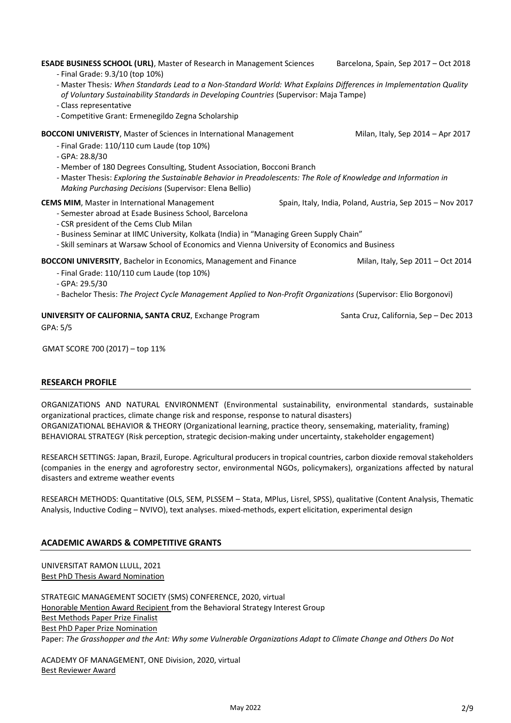| <u>Clubbic Dicbelliture</u>                                                                                                                                                                                                                                                                                                                                                                       |                                                           |
|---------------------------------------------------------------------------------------------------------------------------------------------------------------------------------------------------------------------------------------------------------------------------------------------------------------------------------------------------------------------------------------------------|-----------------------------------------------------------|
| - Competitive Grant: Ermenegildo Zegna Scholarship                                                                                                                                                                                                                                                                                                                                                |                                                           |
| <b>BOCCONI UNIVERISTY, Master of Sciences in International Management</b><br>- Final Grade: 110/110 cum Laude (top 10%)<br>- GPA: 28.8/30<br>- Member of 180 Degrees Consulting, Student Association, Bocconi Branch<br>- Master Thesis: Exploring the Sustainable Behavior in Preadolescents: The Role of Knowledge and Information in<br>Making Purchasing Decisions (Supervisor: Elena Bellio) | Milan, Italy, Sep 2014 - Apr 2017                         |
| <b>CEMS MIM, Master in International Management</b><br>- Semester abroad at Esade Business School, Barcelona<br>- CSR president of the Cems Club Milan<br>- Business Seminar at IIMC University, Kolkata (India) in "Managing Green Supply Chain"<br>- Skill seminars at Warsaw School of Economics and Vienna University of Economics and Business                                               | Spain, Italy, India, Poland, Austria, Sep 2015 – Nov 2017 |
| <b>BOCCONI UNIVERSITY</b> , Bachelor in Economics, Management and Finance<br>- Final Grade: 110/110 cum Laude (top 10%)<br>- GPA: 29.5/30<br>- Bachelor Thesis: The Project Cycle Management Applied to Non-Profit Organizations (Supervisor: Elio Borgonovi)                                                                                                                                     | Milan, Italy, Sep 2011 - Oct 2014                         |
| UNIVERSITY OF CALIFORNIA, SANTA CRUZ, Exchange Program<br>GPA: 5/5                                                                                                                                                                                                                                                                                                                                | Santa Cruz, California, Sep - Dec 2013                    |
| GMAT SCORE 700 (2017) - top 11%                                                                                                                                                                                                                                                                                                                                                                   |                                                           |
|                                                                                                                                                                                                                                                                                                                                                                                                   |                                                           |

**ESADE BUSINESS SCHOOL (URL)**, Master of Research in Management Sciences Barcelona, Spain, Sep 2017 – Oct 2018

*of Voluntary Sustainability Standards in Developing Countries* (Supervisor: Maja Tampe)

- Master Thesis*: When Standards Lead to a Non-Standard World: What Explains Differences in Implementation Quality* 

# **RESEARCH PROFILE**

- Final Grade: 9.3/10 (top 10%)

- Class representative

ORGANIZATIONS AND NATURAL ENVIRONMENT (Environmental sustainability, environmental standards, sustainable organizational practices, climate change risk and response, response to natural disasters) ORGANIZATIONAL BEHAVIOR & THEORY (Organizational learning, practice theory, sensemaking, materiality, framing) BEHAVIORAL STRATEGY (Risk perception, strategic decision-making under uncertainty, stakeholder engagement)

RESEARCH SETTINGS: Japan, Brazil, Europe. Agricultural producers in tropical countries, carbon dioxide removal stakeholders (companies in the energy and agroforestry sector, environmental NGOs, policymakers), organizations affected by natural disasters and extreme weather events

RESEARCH METHODS: Quantitative (OLS, SEM, PLSSEM – Stata, MPlus, Lisrel, SPSS), qualitative (Content Analysis, Thematic Analysis, Inductive Coding – NVIVO), text analyses. mixed-methods, expert elicitation, experimental design

# **ACADEMIC AWARDS & COMPETITIVE GRANTS**

UNIVERSITAT RAMON LLULL, 2021 Best PhD Thesis Award Nomination

STRATEGIC MANAGEMENT SOCIETY (SMS) CONFERENCE, 2020, virtual Honorable Mention Award Recipient from the Behavioral Strategy Interest Group Best Methods Paper Prize Finalist Best PhD Paper Prize Nomination Paper: *The Grasshopper and the Ant: Why some Vulnerable Organizations Adapt to Climate Change and Others Do Not*

ACADEMY OF MANAGEMENT, ONE Division, 2020, virtual Best Reviewer Award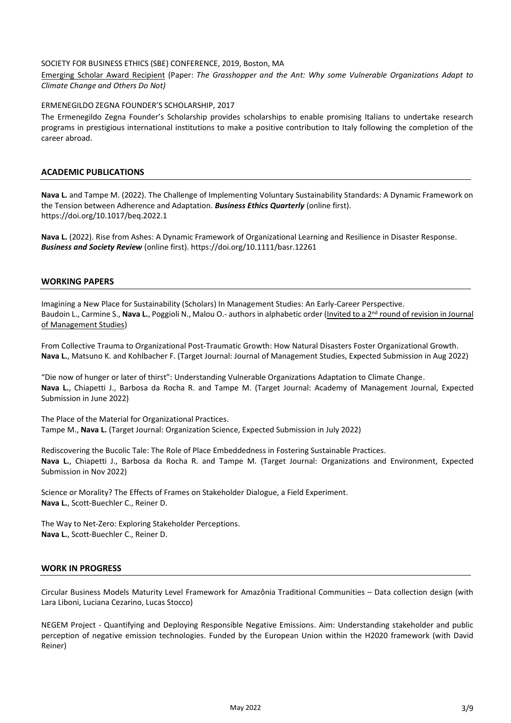#### SOCIETY FOR BUSINESS ETHICS (SBE) CONFERENCE, 2019, Boston, MA

Emerging Scholar Award Recipient (Paper: *The Grasshopper and the Ant: Why some Vulnerable Organizations Adapt to Climate Change and Others Do Not)*

#### ERMENEGILDO ZEGNA FOUNDER'S SCHOLARSHIP, 2017

The Ermenegildo Zegna Founder's Scholarship provides scholarships to enable promising Italians to undertake research programs in prestigious international institutions to make a positive contribution to Italy following the completion of the career abroad.

#### **ACADEMIC PUBLICATIONS**

**Nava L.** and Tampe M. (2022). The Challenge of Implementing Voluntary Sustainability Standards: A Dynamic Framework on the Tension between Adherence and Adaptation. *Business Ethics Quarterly* (online first). https://doi.org/10.1017/beq.2022.1

**Nava L.** (2022). Rise from Ashes: A Dynamic Framework of Organizational Learning and Resilience in Disaster Response. *Business and Society Review* (online first)[. https://doi.org/10.1111/basr.12261](https://doi.org/10.1111/basr.12261)

#### **WORKING PAPERS**

Imagining a New Place for Sustainability (Scholars) In Management Studies: An Early-Career Perspective. Baudoin L., Carmine S., Nava L., Poggioli N., Malou O.- authors in alphabetic order (Invited to a 2<sup>nd</sup> round of revision in Journal of Management Studies)

From Collective Trauma to Organizational Post-Traumatic Growth: How Natural Disasters Foster Organizational Growth. **Nava L.**, Matsuno K. and Kohlbacher F. (Target Journal: Journal of Management Studies, Expected Submission in Aug 2022)

"Die now of hunger or later of thirst": Understanding Vulnerable Organizations Adaptation to Climate Change. **Nava L.**, Chiapetti J., Barbosa da Rocha R. and Tampe M. (Target Journal: Academy of Management Journal, Expected Submission in June 2022)

The Place of the Material for Organizational Practices. Tampe M., **Nava L.** (Target Journal: Organization Science, Expected Submission in July 2022)

Rediscovering the Bucolic Tale: The Role of Place Embeddedness in Fostering Sustainable Practices. **Nava L.**, Chiapetti J., Barbosa da Rocha R. and Tampe M. (Target Journal: Organizations and Environment, Expected Submission in Nov 2022)

Science or Morality? The Effects of Frames on Stakeholder Dialogue, a Field Experiment. **Nava L.**, Scott-Buechler C., Reiner D.

The Way to Net-Zero: Exploring Stakeholder Perceptions. **Nava L.**, Scott-Buechler C., Reiner D.

#### **WORK IN PROGRESS**

Circular Business Models Maturity Level Framework for Amazônia Traditional Communities – Data collection design (with Lara Liboni, Luciana Cezarino, Lucas Stocco)

NEGEM Project - Quantifying and Deploying Responsible Negative Emissions. Aim: Understanding stakeholder and public perception of negative emission technologies. Funded by the European Union within the H2020 framework (with David Reiner)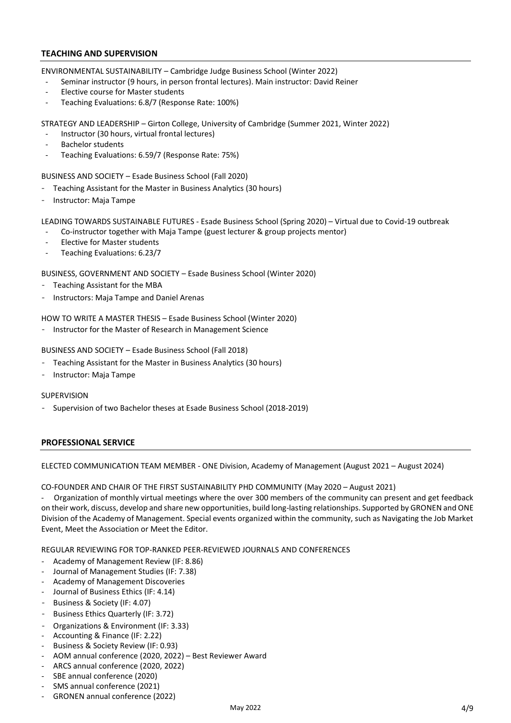#### **TEACHING AND SUPERVISION**

ENVIRONMENTAL SUSTAINABILITY – Cambridge Judge Business School (Winter 2022)

- Seminar instructor (9 hours, in person frontal lectures). Main instructor: David Reiner
- Elective course for Master students
- Teaching Evaluations: 6.8/7 (Response Rate: 100%)

STRATEGY AND LEADERSHIP – Girton College, University of Cambridge (Summer 2021, Winter 2022)

- Instructor (30 hours, virtual frontal lectures)
- Bachelor students
- Teaching Evaluations: 6.59/7 (Response Rate: 75%)

BUSINESS AND SOCIETY – Esade Business School (Fall 2020)

- Teaching Assistant for the Master in Business Analytics (30 hours)
- Instructor: Maja Tampe

LEADING TOWARDS SUSTAINABLE FUTURES - Esade Business School (Spring 2020) – Virtual due to Covid-19 outbreak

- Co-instructor together with Maja Tampe (guest lecturer & group projects mentor)
- Elective for Master students
- Teaching Evaluations: 6.23/7

BUSINESS, GOVERNMENT AND SOCIETY – Esade Business School (Winter 2020)

- Teaching Assistant for the MBA
- Instructors: Maja Tampe and Daniel Arenas

HOW TO WRITE A MASTER THESIS – Esade Business School (Winter 2020)

- Instructor for the Master of Research in Management Science

BUSINESS AND SOCIETY – Esade Business School (Fall 2018)

- Teaching Assistant for the Master in Business Analytics (30 hours)
- Instructor: Maja Tampe

#### SUPERVISION

- Supervision of two Bachelor theses at Esade Business School (2018-2019)

#### **PROFESSIONAL SERVICE**

ELECTED COMMUNICATION TEAM MEMBER - ONE Division, Academy of Management (August 2021 – August 2024)

CO-FOUNDER AND CHAIR OF THE FIRST SUSTAINABILITY PHD COMMUNITY (May 2020 – August 2021)

- Organization of monthly virtual meetings where the over 300 members of the community can present and get feedback on their work, discuss, develop and share new opportunities, build long-lasting relationships. Supported by GRONEN and ONE Division of the Academy of Management. Special events organized within the community, such as Navigating the Job Market Event, Meet the Association or Meet the Editor.

REGULAR REVIEWING FOR TOP‐RANKED PEER‐REVIEWED JOURNALS AND CONFERENCES

- Academy of Management Review (IF: 8.86)
- Journal of Management Studies (IF: 7.38)
- Academy of Management Discoveries
- Journal of Business Ethics (IF: 4.14)
- Business & Society (IF: 4.07)
- Business Ethics Quarterly (IF: 3.72)
- Organizations & Environment (IF: 3.33)
- Accounting & Finance (IF: 2.22)
- Business & Society Review (IF: 0.93)
- AOM annual conference (2020, 2022) Best Reviewer Award
- ARCS annual conference (2020, 2022)
- SBE annual conference (2020)
- SMS annual conference (2021)
- GRONEN annual conference (2022)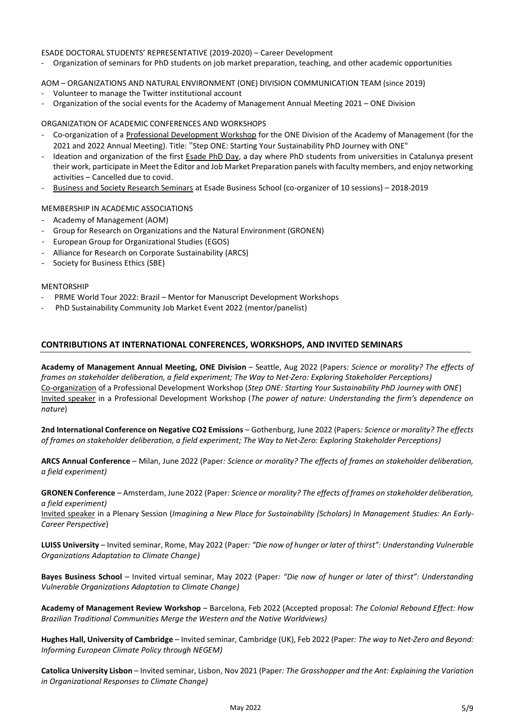#### ESADE DOCTORAL STUDENTS' REPRESENTATIVE (2019-2020) – Career Development

- Organization of seminars for PhD students on job market preparation, teaching, and other academic opportunities

#### AOM – ORGANIZATIONS AND NATURAL ENVIRONMENT (ONE) DIVISION COMMUNICATION TEAM (since 2019)

- Volunteer to manage the Twitter institutional account
- Organization of the social events for the Academy of Management Annual Meeting 2021 ONE Division

#### ORGANIZATION OF ACADEMIC CONFERENCES AND WORKSHOPS

- Co-organization of a Professional Development Workshop for the ONE Division of the Academy of Management (for the 2021 and 2022 Annual Meeting). Title: "Step ONE: Starting Your Sustainability PhD Journey with ONE"
- Ideation and organization of the first Esade PhD Day, a day where PhD students from universities in Catalunya present their work, participate in Meet the Editor and Job Market Preparation panels with faculty members, and enjoy networking activities – Cancelled due to covid.
- Business and Society Research Seminars at Esade Business School (co-organizer of 10 sessions) 2018-2019

#### MEMBERSHIP IN ACADEMIC ASSOCIATIONS

- Academy of Management (AOM)
- Group for Research on Organizations and the Natural Environment (GRONEN)
- European Group for Organizational Studies (EGOS)
- Alliance for Research on Corporate Sustainability (ARCS)
- Society for Business Ethics (SBE)

#### MENTORSHIP

- PRME World Tour 2022: Brazil Mentor for Manuscript Development Workshops
- PhD Sustainability Community Job Market Event 2022 (mentor/panelist)

#### **CONTRIBUTIONS AT INTERNATIONAL CONFERENCES, WORKSHOPS, AND INVITED SEMINARS**

**Academy of Management Annual Meeting, ONE Division** – Seattle, Aug 2022 (Papers*: Science or morality? The effects of frames on stakeholder deliberation, a field experiment; The Way to Net-Zero: Exploring Stakeholder Perceptions)* Co-organization of a Professional Development Workshop (*Step ONE: Starting Your Sustainability PhD Journey with ONE*) Invited speaker in a Professional Development Workshop (*The power of nature: Understanding the firm's dependence on nature*)

**2nd International Conference on Negative CO2 Emissions** – Gothenburg, June 2022 (Papers*: Science or morality? The effects of frames on stakeholder deliberation, a field experiment; The Way to Net-Zero: Exploring Stakeholder Perceptions)*

**ARCS Annual Conference** – Milan, June 2022 (Paper*: Science or morality? The effects of frames on stakeholder deliberation, a field experiment)*

**GRONEN Conference** – Amsterdam, June 2022 (Paper*: Science or morality? The effects of frames on stakeholder deliberation, a field experiment)*

Invited speaker in a Plenary Session (*Imagining a New Place for Sustainability (Scholars) In Management Studies: An Early-Career Perspective*)

**LUISS University** – Invited seminar, Rome, May 2022 (Paper*: "Die now of hunger or later of thirst": Understanding Vulnerable Organizations Adaptation to Climate Change)*

**Bayes Business School** – Invited virtual seminar, May 2022 (Paper*: "Die now of hunger or later of thirst": Understanding Vulnerable Organizations Adaptation to Climate Change)*

**Academy of Management Review Workshop** – Barcelona, Feb 2022 (Accepted proposal: *The Colonial Rebound Effect: How Brazilian Traditional Communities Merge the Western and the Native Worldviews)*

**Hughes Hall, University of Cambridge** – Invited seminar, Cambridge (UK), Feb 2022 (Paper*: The way to Net-Zero and Beyond: Informing European Climate Policy through NEGEM)*

**Catolica University Lisbon** – Invited seminar, Lisbon, Nov 2021 (Paper*: The Grasshopper and the Ant: Explaining the Variation in Organizational Responses to Climate Change)*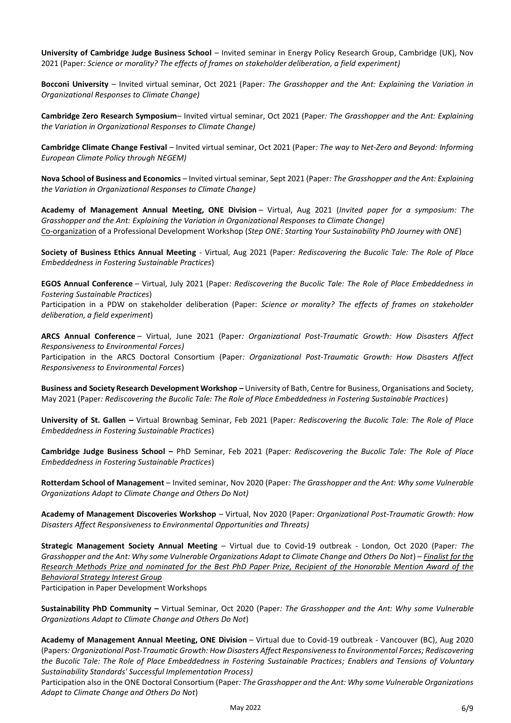**University of Cambridge Judge Business School** – Invited seminar in Energy Policy Research Group, Cambridge (UK), Nov 2021 (Paper*: Science or morality? The effects of frames on stakeholder deliberation, a field experiment)*

**Bocconi University** – Invited virtual seminar, Oct 2021 (Paper*: The Grasshopper and the Ant: Explaining the Variation in Organizational Responses to Climate Change)*

**Cambridge Zero Research Symposium**– Invited virtual seminar, Oct 2021 (Paper*: The Grasshopper and the Ant: Explaining the Variation in Organizational Responses to Climate Change)*

**Cambridge Climate Change Festival** – Invited virtual seminar, Oct 2021 (Paper*: The way to Net-Zero and Beyond: Informing European Climate Policy through NEGEM)*

**Nova School of Business and Economics** – Invited virtual seminar, Sept 2021 (Paper*: The Grasshopper and the Ant: Explaining the Variation in Organizational Responses to Climate Change)*

**Academy of Management Annual Meeting, ONE Division** – Virtual, Aug 2021 (*Invited paper for a symposium: The Grasshopper and the Ant: Explaining the Variation in Organizational Responses to Climate Change)* Co-organization of a Professional Development Workshop (*Step ONE: Starting Your Sustainability PhD Journey with ONE*)

**Society of Business Ethics Annual Meeting** - Virtual, Aug 2021 (Paper*: Rediscovering the Bucolic Tale: The Role of Place Embeddedness in Fostering Sustainable Practices*)

**EGOS Annual Conference** – Virtual, July 2021 (Paper*: Rediscovering the Bucolic Tale: The Role of Place Embeddedness in Fostering Sustainable Practices*)

Participation in a PDW on stakeholder deliberation (Paper: *Science or morality? The effects of frames on stakeholder deliberation, a field experiment*)

**ARCS Annual Conference** – Virtual, June 2021 (Paper*: Organizational Post-Traumatic Growth: How Disasters Affect Responsiveness to Environmental Forces)*

Participation in the ARCS Doctoral Consortium (Paper*: Organizational Post-Traumatic Growth: How Disasters Affect Responsiveness to Environmental Forces*)

**Business and Society Research Development Workshop –** University of Bath, Centre for Business, Organisations and Society, May 2021 (Paper*: Rediscovering the Bucolic Tale: The Role of Place Embeddedness in Fostering Sustainable Practices*)

**University of St. Gallen –** Virtual Brownbag Seminar, Feb 2021 (Paper*: Rediscovering the Bucolic Tale: The Role of Place Embeddedness in Fostering Sustainable Practices*)

**Cambridge Judge Business School –** PhD Seminar, Feb 2021 (Paper*: Rediscovering the Bucolic Tale: The Role of Place Embeddedness in Fostering Sustainable Practices*)

**Rotterdam School of Management** – Invited seminar, Nov 2020 (Paper*: The Grasshopper and the Ant: Why some Vulnerable Organizations Adapt to Climate Change and Others Do Not)*

**Academy of Management Discoveries Workshop** – Virtual, Nov 2020 (Paper*: Organizational Post-Traumatic Growth: How Disasters Affect Responsiveness to Environmental Opportunities and Threats)*

**Strategic Management Society Annual Meeting** – Virtual due to Covid-19 outbreak - London, Oct 2020 (Paper*: The Grasshopper and the Ant: Why some Vulnerable Organizations Adapt to Climate Change and Others Do Not*) – *Finalist for the Research Methods Prize and nominated for the Best PhD Paper Prize, Recipient of the Honorable Mention Award of the Behavioral Strategy Interest Group*

Participation in Paper Development Workshops

**Sustainability PhD Community –** Virtual Seminar, Oct 2020 (Paper*: The Grasshopper and the Ant: Why some Vulnerable Organizations Adapt to Climate Change and Others Do Not*)

**Academy of Management Annual Meeting, ONE Division** – Virtual due to Covid-19 outbreak - Vancouver (BC), Aug 2020 (Papers*: Organizational Post-Traumatic Growth: How Disasters Affect Responsiveness to Environmental Forces; Rediscovering the Bucolic Tale: The Role of Place Embeddedness in Fostering Sustainable Practices; Enablers and Tensions of Voluntary Sustainability Standards' Successful Implementation Process)*

Participation also in the ONE Doctoral Consortium (Paper*: The Grasshopper and the Ant: Why some Vulnerable Organizations Adapt to Climate Change and Others Do Not*)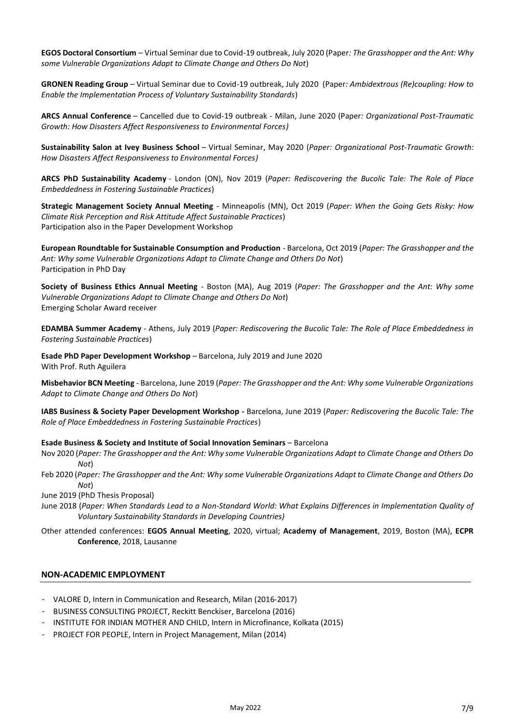**EGOS Doctoral Consortium** – Virtual Seminar due to Covid-19 outbreak, July 2020 (Paper*: The Grasshopper and the Ant: Why some Vulnerable Organizations Adapt to Climate Change and Others Do Not*)

**GRONEN Reading Group** – Virtual Seminar due to Covid-19 outbreak, July 2020 (Paper*: Ambidextrous (Re)coupling: How to Enable the Implementation Process of Voluntary Sustainability Standards*)

**ARCS Annual Conference** – Cancelled due to Covid-19 outbreak - Milan, June 2020 (Paper*: Organizational Post-Traumatic Growth: How Disasters Affect Responsiveness to Environmental Forces)*

**Sustainability Salon at Ivey Business School** – Virtual Seminar, May 2020 (*Paper: Organizational Post-Traumatic Growth: How Disasters Affect Responsiveness to Environmental Forces)*

**ARCS PhD Sustainability Academy** - London (ON), Nov 2019 (*Paper: Rediscovering the Bucolic Tale: The Role of Place Embeddedness in Fostering Sustainable Practices*)

**Strategic Management Society Annual Meeting** - Minneapolis (MN), Oct 2019 (*Paper: When the Going Gets Risky: How Climate Risk Perception and Risk Attitude Affect Sustainable Practices*) Participation also in the Paper Development Workshop

**European Roundtable for Sustainable Consumption and Production** - Barcelona, Oct 2019 (*Paper: The Grasshopper and the Ant: Why some Vulnerable Organizations Adapt to Climate Change and Others Do Not*) Participation in PhD Day

**Society of Business Ethics Annual Meeting** - Boston (MA), Aug 2019 (*Paper: The Grasshopper and the Ant: Why some Vulnerable Organizations Adapt to Climate Change and Others Do Not*) Emerging Scholar Award receiver

**EDAMBA Summer Academy** - Athens, July 2019 (*Paper: Rediscovering the Bucolic Tale: The Role of Place Embeddedness in Fostering Sustainable Practices*)

**Esade PhD Paper Development Workshop** – Barcelona, July 2019 and June 2020 With Prof. Ruth Aguilera

**Misbehavior BCN Meeting** - Barcelona, June 2019 (*Paper: The Grasshopper and the Ant: Why some Vulnerable Organizations Adapt to Climate Change and Others Do Not*)

**IABS Business & Society Paper Development Workshop -** Barcelona, June 2019 (*Paper: Rediscovering the Bucolic Tale: The Role of Place Embeddedness in Fostering Sustainable Practices*)

#### **Esade Business & Society and Institute of Social Innovation Seminars** – Barcelona

- Nov 2020 (*Paper: The Grasshopper and the Ant: Why some Vulnerable Organizations Adapt to Climate Change and Others Do Not*)
- Feb 2020 (*Paper: The Grasshopper and the Ant: Why some Vulnerable Organizations Adapt to Climate Change and Others Do Not*)

June 2019 (PhD Thesis Proposal)

June 2018 (*Paper: When Standards Lead to a Non-Standard World: What Explains Differences in Implementation Quality of Voluntary Sustainability Standards in Developing Countries)*

Other attended conferences: **EGOS Annual Meeting**, 2020, virtual; **Academy of Management**, 2019, Boston (MA), **ECPR Conference**, 2018, Lausanne

#### **NON‐ACADEMIC EMPLOYMENT**

- VALORE D, Intern in Communication and Research, Milan (2016-2017)
- BUSINESS CONSULTING PROJECT, Reckitt Benckiser, Barcelona (2016)
- INSTITUTE FOR INDIAN MOTHER AND CHILD, Intern in Microfinance, Kolkata (2015)
- PROJECT FOR PEOPLE, Intern in Project Management, Milan (2014)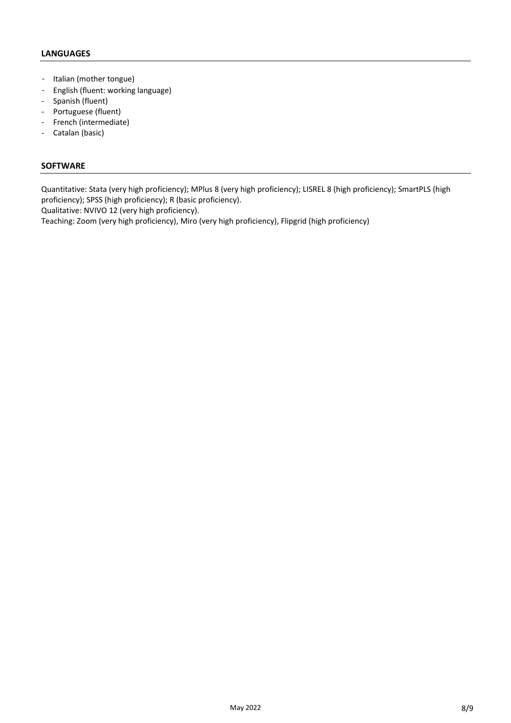# **LANGUAGES**

- Italian (mother tongue)
- English (fluent: working language)
- Spanish (fluent)
- Portuguese (fluent)
- French (intermediate)
- Catalan (basic)

# **SOFTWARE**

Quantitative: Stata (very high proficiency); MPlus 8 (very high proficiency); LISREL 8 (high proficiency); SmartPLS (high proficiency); SPSS (high proficiency); R (basic proficiency).

Qualitative: NVIVO 12 (very high proficiency).

Teaching: Zoom (very high proficiency), Miro (very high proficiency), Flipgrid (high proficiency)